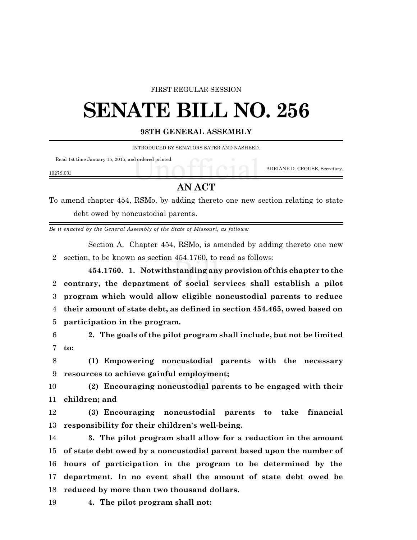### FIRST REGULAR SESSION

# **SENATE BILL NO. 256**

#### **98TH GENERAL ASSEMBLY**

INTRODUCED BY SENATORS SATER AND NASHEED.

Read 1st time January 15, 2015, and ordered printed.

ADRIANE D. CROUSE, Secretary.

#### 1027S.03I

## **AN ACT**

To amend chapter 454, RSMo, by adding thereto one new section relating to state debt owed by noncustodial parents.

*Be it enacted by the General Assembly of the State of Missouri, as follows:*

Section A. Chapter 454, RSMo, is amended by adding thereto one new 2 section, to be known as section 454.1760, to read as follows:

**454.1760. 1. Notwithstanding any provision of this chapter to the contrary, the department of social services shall establish a pilot program which would allow eligible noncustodial parents to reduce their amount of state debt, as defined in section 454.465, owed based on participation in the program.**

6 **2. The goals of the pilot program shall include, but not be limited** 7 **to:**

8 **(1) Empowering noncustodial parents with the necessary** 9 **resources to achieve gainful employment;**

10 **(2) Encouraging noncustodial parents to be engaged with their** 11 **children; and**

12 **(3) Encouraging noncustodial parents to take financial** 13 **responsibility for their children's well-being.**

 **3. The pilot program shall allow for a reduction in the amount of state debt owed by a noncustodial parent based upon the number of hours of participation in the program to be determined by the department. In no event shall the amount of state debt owed be reduced by more than two thousand dollars.**

19 **4. The pilot program shall not:**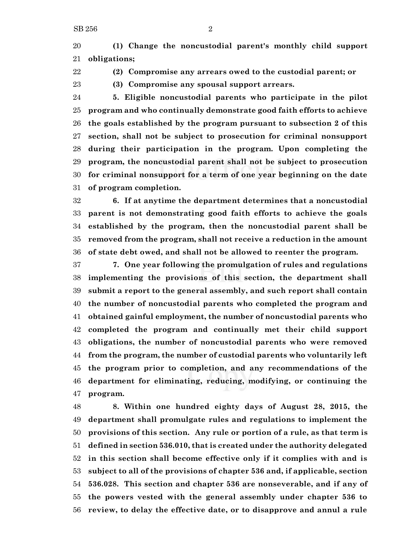**(1) Change the noncustodial parent's monthly child support obligations;**

**(2) Compromise any arrears owed to the custodial parent; or**

**(3) Compromise any spousal support arrears.**

 **5. Eligible noncustodial parents who participate in the pilot program and who continually demonstrate good faith efforts to achieve the goals established by the program pursuant to subsection 2 of this section, shall not be subject to prosecution for criminal nonsupport during their participation in the program. Upon completing the program, the noncustodial parent shall not be subject to prosecution for criminal nonsupport for a term of one year beginning on the date of program completion.**

 **6. If at anytime the department determines that a noncustodial parent is not demonstrating good faith efforts to achieve the goals established by the program, then the noncustodial parent shall be removed from the program, shall not receive a reduction in the amount of state debt owed, and shall not be allowed to reenter the program.**

 **7. One year following the promulgation of rules and regulations implementing the provisions of this section, the department shall submit a report to the general assembly, and such report shall contain the number of noncustodial parents who completed the program and obtained gainful employment, the number of noncustodial parents who completed the program and continually met their child support obligations, the number of noncustodial parents who were removed from the program, the number of custodial parents who voluntarily left the program prior to completion, and any recommendations of the department for eliminating, reducing, modifying, or continuing the program.**

 **8. Within one hundred eighty days of August 28, 2015, the department shall promulgate rules and regulations to implement the provisions of this section. Any rule or portion of a rule, as that term is defined in section 536.010, that is created under the authority delegated in this section shall become effective only if it complies with and is subject to all of the provisions of chapter 536 and, if applicable, section 536.028. This section and chapter 536 are nonseverable, and if any of the powers vested with the general assembly under chapter 536 to review, to delay the effective date, or to disapprove and annul a rule**